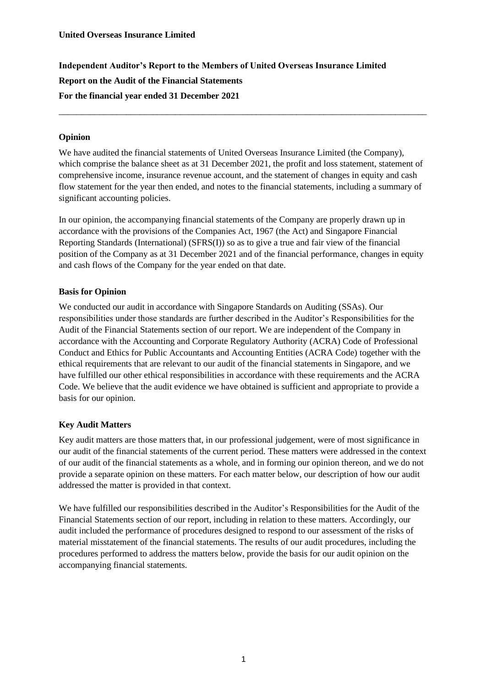## **Opinion**

We have audited the financial statements of United Overseas Insurance Limited (the Company), which comprise the balance sheet as at 31 December 2021, the profit and loss statement, statement of comprehensive income, insurance revenue account, and the statement of changes in equity and cash flow statement for the year then ended, and notes to the financial statements, including a summary of significant accounting policies.

\_\_\_\_\_\_\_\_\_\_\_\_\_\_\_\_\_\_\_\_\_\_\_\_\_\_\_\_\_\_\_\_\_\_\_\_\_\_\_\_\_\_\_\_\_\_\_\_\_\_\_\_\_\_\_\_\_\_\_\_\_\_\_\_\_\_\_\_\_\_\_\_\_\_\_\_\_\_\_\_\_\_

In our opinion, the accompanying financial statements of the Company are properly drawn up in accordance with the provisions of the Companies Act, 1967 (the Act) and Singapore Financial Reporting Standards (International) (SFRS(I)) so as to give a true and fair view of the financial position of the Company as at 31 December 2021 and of the financial performance, changes in equity and cash flows of the Company for the year ended on that date.

#### **Basis for Opinion**

We conducted our audit in accordance with Singapore Standards on Auditing (SSAs). Our responsibilities under those standards are further described in the Auditor's Responsibilities for the Audit of the Financial Statements section of our report. We are independent of the Company in accordance with the Accounting and Corporate Regulatory Authority (ACRA) Code of Professional Conduct and Ethics for Public Accountants and Accounting Entities (ACRA Code) together with the ethical requirements that are relevant to our audit of the financial statements in Singapore, and we have fulfilled our other ethical responsibilities in accordance with these requirements and the ACRA Code. We believe that the audit evidence we have obtained is sufficient and appropriate to provide a basis for our opinion.

## **Key Audit Matters**

Key audit matters are those matters that, in our professional judgement, were of most significance in our audit of the financial statements of the current period. These matters were addressed in the context of our audit of the financial statements as a whole, and in forming our opinion thereon, and we do not provide a separate opinion on these matters. For each matter below, our description of how our audit addressed the matter is provided in that context.

We have fulfilled our responsibilities described in the Auditor's Responsibilities for the Audit of the Financial Statements section of our report, including in relation to these matters. Accordingly, our audit included the performance of procedures designed to respond to our assessment of the risks of material misstatement of the financial statements. The results of our audit procedures, including the procedures performed to address the matters below, provide the basis for our audit opinion on the accompanying financial statements.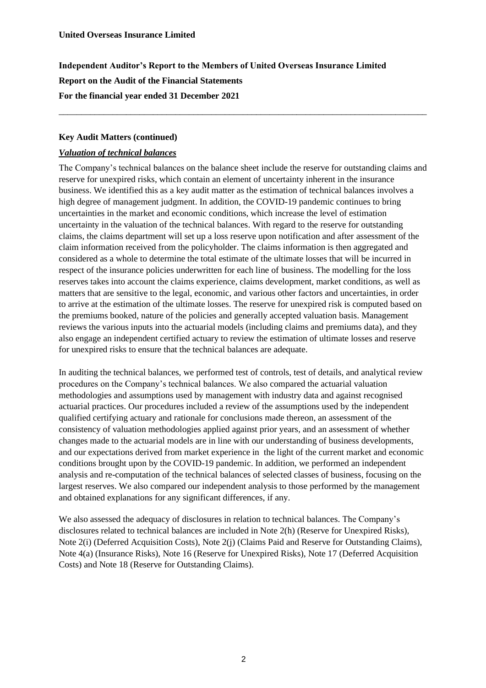\_\_\_\_\_\_\_\_\_\_\_\_\_\_\_\_\_\_\_\_\_\_\_\_\_\_\_\_\_\_\_\_\_\_\_\_\_\_\_\_\_\_\_\_\_\_\_\_\_\_\_\_\_\_\_\_\_\_\_\_\_\_\_\_\_\_\_\_\_\_\_\_\_\_\_\_\_\_\_\_\_\_

#### **Key Audit Matters (continued)**

#### *Valuation of technical balances*

The Company's technical balances on the balance sheet include the reserve for outstanding claims and reserve for unexpired risks, which contain an element of uncertainty inherent in the insurance business. We identified this as a key audit matter as the estimation of technical balances involves a high degree of management judgment. In addition, the COVID-19 pandemic continues to bring uncertainties in the market and economic conditions, which increase the level of estimation uncertainty in the valuation of the technical balances. With regard to the reserve for outstanding claims, the claims department will set up a loss reserve upon notification and after assessment of the claim information received from the policyholder. The claims information is then aggregated and considered as a whole to determine the total estimate of the ultimate losses that will be incurred in respect of the insurance policies underwritten for each line of business. The modelling for the loss reserves takes into account the claims experience, claims development, market conditions, as well as matters that are sensitive to the legal, economic, and various other factors and uncertainties, in order to arrive at the estimation of the ultimate losses. The reserve for unexpired risk is computed based on the premiums booked, nature of the policies and generally accepted valuation basis. Management reviews the various inputs into the actuarial models (including claims and premiums data), and they also engage an independent certified actuary to review the estimation of ultimate losses and reserve for unexpired risks to ensure that the technical balances are adequate.

In auditing the technical balances, we performed test of controls, test of details, and analytical review procedures on the Company's technical balances. We also compared the actuarial valuation methodologies and assumptions used by management with industry data and against recognised actuarial practices. Our procedures included a review of the assumptions used by the independent qualified certifying actuary and rationale for conclusions made thereon, an assessment of the consistency of valuation methodologies applied against prior years, and an assessment of whether changes made to the actuarial models are in line with our understanding of business developments, and our expectations derived from market experience in the light of the current market and economic conditions brought upon by the COVID-19 pandemic. In addition, we performed an independent analysis and re-computation of the technical balances of selected classes of business, focusing on the largest reserves. We also compared our independent analysis to those performed by the management and obtained explanations for any significant differences, if any.

We also assessed the adequacy of disclosures in relation to technical balances. The Company's disclosures related to technical balances are included in Note 2(h) (Reserve for Unexpired Risks), Note 2(i) (Deferred Acquisition Costs), Note 2(j) (Claims Paid and Reserve for Outstanding Claims), Note 4(a) (Insurance Risks), Note 16 (Reserve for Unexpired Risks), Note 17 (Deferred Acquisition Costs) and Note 18 (Reserve for Outstanding Claims).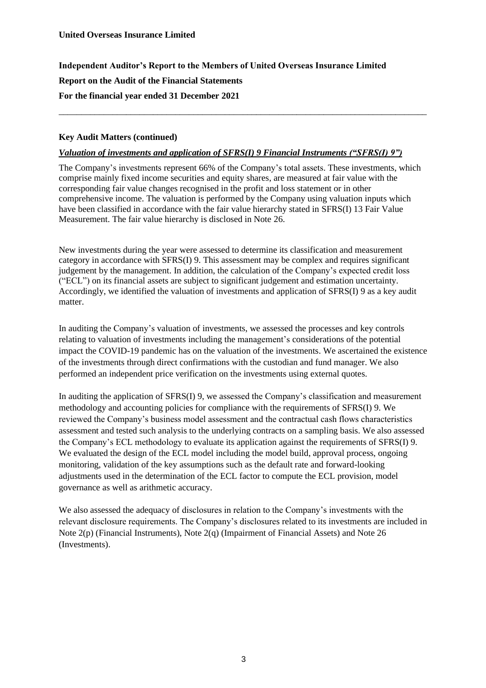#### **Key Audit Matters (continued)**

#### *Valuation of investments and application of SFRS(I) 9 Financial Instruments ("SFRS(I) 9")*

The Company's investments represent 66% of the Company's total assets. These investments, which comprise mainly fixed income securities and equity shares, are measured at fair value with the corresponding fair value changes recognised in the profit and loss statement or in other comprehensive income. The valuation is performed by the Company using valuation inputs which have been classified in accordance with the fair value hierarchy stated in SFRS(I) 13 Fair Value Measurement. The fair value hierarchy is disclosed in Note 26.

\_\_\_\_\_\_\_\_\_\_\_\_\_\_\_\_\_\_\_\_\_\_\_\_\_\_\_\_\_\_\_\_\_\_\_\_\_\_\_\_\_\_\_\_\_\_\_\_\_\_\_\_\_\_\_\_\_\_\_\_\_\_\_\_\_\_\_\_\_\_\_\_\_\_\_\_\_\_\_\_\_\_

New investments during the year were assessed to determine its classification and measurement category in accordance with SFRS(I) 9. This assessment may be complex and requires significant judgement by the management. In addition, the calculation of the Company's expected credit loss ("ECL") on its financial assets are subject to significant judgement and estimation uncertainty. Accordingly, we identified the valuation of investments and application of SFRS(I) 9 as a key audit matter.

In auditing the Company's valuation of investments, we assessed the processes and key controls relating to valuation of investments including the management's considerations of the potential impact the COVID-19 pandemic has on the valuation of the investments. We ascertained the existence of the investments through direct confirmations with the custodian and fund manager. We also performed an independent price verification on the investments using external quotes.

In auditing the application of SFRS(I) 9, we assessed the Company's classification and measurement methodology and accounting policies for compliance with the requirements of SFRS(I) 9. We reviewed the Company's business model assessment and the contractual cash flows characteristics assessment and tested such analysis to the underlying contracts on a sampling basis. We also assessed the Company's ECL methodology to evaluate its application against the requirements of SFRS(I) 9. We evaluated the design of the ECL model including the model build, approval process, ongoing monitoring, validation of the key assumptions such as the default rate and forward-looking adjustments used in the determination of the ECL factor to compute the ECL provision, model governance as well as arithmetic accuracy.

We also assessed the adequacy of disclosures in relation to the Company's investments with the relevant disclosure requirements. The Company's disclosures related to its investments are included in Note 2(p) (Financial Instruments), Note 2(q) (Impairment of Financial Assets) and Note 26 (Investments).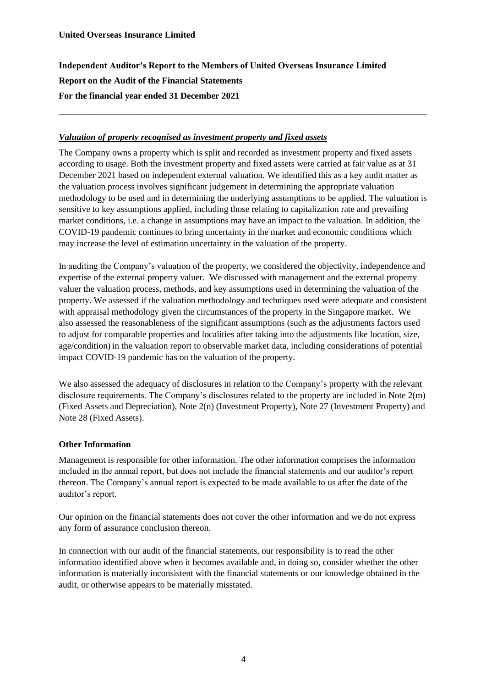## *Valuation of property recognised as investment property and fixed assets*

The Company owns a property which is split and recorded as investment property and fixed assets according to usage. Both the investment property and fixed assets were carried at fair value as at 31 December 2021 based on independent external valuation. We identified this as a key audit matter as the valuation process involves significant judgement in determining the appropriate valuation methodology to be used and in determining the underlying assumptions to be applied. The valuation is sensitive to key assumptions applied, including those relating to capitalization rate and prevailing market conditions, i.e. a change in assumptions may have an impact to the valuation. In addition, the COVID-19 pandemic continues to bring uncertainty in the market and economic conditions which may increase the level of estimation uncertainty in the valuation of the property.

\_\_\_\_\_\_\_\_\_\_\_\_\_\_\_\_\_\_\_\_\_\_\_\_\_\_\_\_\_\_\_\_\_\_\_\_\_\_\_\_\_\_\_\_\_\_\_\_\_\_\_\_\_\_\_\_\_\_\_\_\_\_\_\_\_\_\_\_\_\_\_\_\_\_\_\_\_\_\_\_\_\_

In auditing the Company's valuation of the property, we considered the objectivity, independence and expertise of the external property valuer. We discussed with management and the external property valuer the valuation process, methods, and key assumptions used in determining the valuation of the property. We assessed if the valuation methodology and techniques used were adequate and consistent with appraisal methodology given the circumstances of the property in the Singapore market. We also assessed the reasonableness of the significant assumptions (such as the adjustments factors used to adjust for comparable properties and localities after taking into the adjustments like location, size, age/condition) in the valuation report to observable market data, including considerations of potential impact COVID-19 pandemic has on the valuation of the property.

We also assessed the adequacy of disclosures in relation to the Company's property with the relevant disclosure requirements. The Company's disclosures related to the property are included in Note 2(m) (Fixed Assets and Depreciation), Note 2(n) (Investment Property), Note 27 (Investment Property) and Note 28 (Fixed Assets).

## **Other Information**

Management is responsible for other information. The other information comprises the information included in the annual report, but does not include the financial statements and our auditor's report thereon. The Company's annual report is expected to be made available to us after the date of the auditor's report.

Our opinion on the financial statements does not cover the other information and we do not express any form of assurance conclusion thereon.

In connection with our audit of the financial statements, our responsibility is to read the other information identified above when it becomes available and, in doing so, consider whether the other information is materially inconsistent with the financial statements or our knowledge obtained in the audit, or otherwise appears to be materially misstated.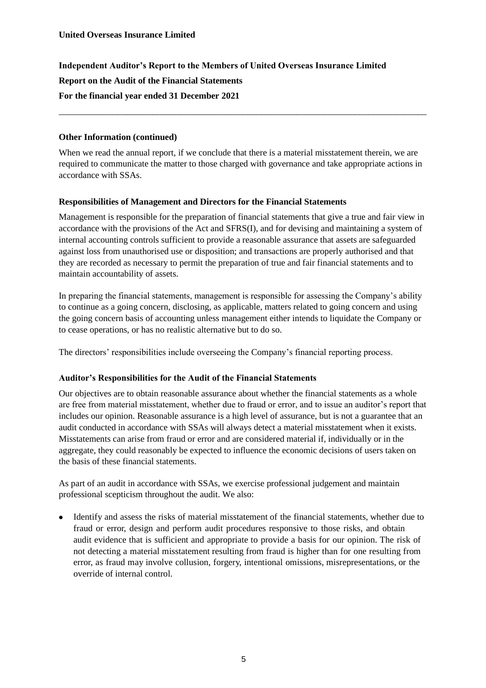## **Other Information (continued)**

When we read the annual report, if we conclude that there is a material misstatement therein, we are required to communicate the matter to those charged with governance and take appropriate actions in accordance with SSAs.

\_\_\_\_\_\_\_\_\_\_\_\_\_\_\_\_\_\_\_\_\_\_\_\_\_\_\_\_\_\_\_\_\_\_\_\_\_\_\_\_\_\_\_\_\_\_\_\_\_\_\_\_\_\_\_\_\_\_\_\_\_\_\_\_\_\_\_\_\_\_\_\_\_\_\_\_\_\_\_\_\_\_

## **Responsibilities of Management and Directors for the Financial Statements**

Management is responsible for the preparation of financial statements that give a true and fair view in accordance with the provisions of the Act and SFRS(I), and for devising and maintaining a system of internal accounting controls sufficient to provide a reasonable assurance that assets are safeguarded against loss from unauthorised use or disposition; and transactions are properly authorised and that they are recorded as necessary to permit the preparation of true and fair financial statements and to maintain accountability of assets.

In preparing the financial statements, management is responsible for assessing the Company's ability to continue as a going concern, disclosing, as applicable, matters related to going concern and using the going concern basis of accounting unless management either intends to liquidate the Company or to cease operations, or has no realistic alternative but to do so.

The directors' responsibilities include overseeing the Company's financial reporting process.

## **Auditor's Responsibilities for the Audit of the Financial Statements**

Our objectives are to obtain reasonable assurance about whether the financial statements as a whole are free from material misstatement, whether due to fraud or error, and to issue an auditor's report that includes our opinion. Reasonable assurance is a high level of assurance, but is not a guarantee that an audit conducted in accordance with SSAs will always detect a material misstatement when it exists. Misstatements can arise from fraud or error and are considered material if, individually or in the aggregate, they could reasonably be expected to influence the economic decisions of users taken on the basis of these financial statements.

As part of an audit in accordance with SSAs, we exercise professional judgement and maintain professional scepticism throughout the audit. We also:

• Identify and assess the risks of material misstatement of the financial statements, whether due to fraud or error, design and perform audit procedures responsive to those risks, and obtain audit evidence that is sufficient and appropriate to provide a basis for our opinion. The risk of not detecting a material misstatement resulting from fraud is higher than for one resulting from error, as fraud may involve collusion, forgery, intentional omissions, misrepresentations, or the override of internal control.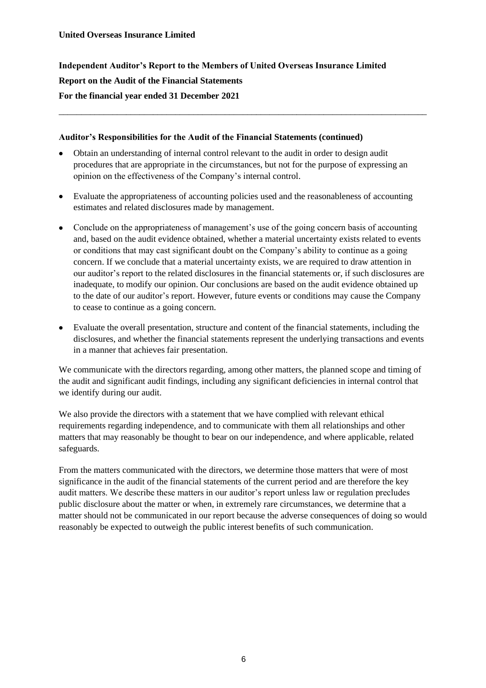#### **Auditor's Responsibilities for the Audit of the Financial Statements (continued)**

• Obtain an understanding of internal control relevant to the audit in order to design audit procedures that are appropriate in the circumstances, but not for the purpose of expressing an opinion on the effectiveness of the Company's internal control.

\_\_\_\_\_\_\_\_\_\_\_\_\_\_\_\_\_\_\_\_\_\_\_\_\_\_\_\_\_\_\_\_\_\_\_\_\_\_\_\_\_\_\_\_\_\_\_\_\_\_\_\_\_\_\_\_\_\_\_\_\_\_\_\_\_\_\_\_\_\_\_\_\_\_\_\_\_\_\_\_\_\_

- Evaluate the appropriateness of accounting policies used and the reasonableness of accounting estimates and related disclosures made by management.
- Conclude on the appropriateness of management's use of the going concern basis of accounting and, based on the audit evidence obtained, whether a material uncertainty exists related to events or conditions that may cast significant doubt on the Company's ability to continue as a going concern. If we conclude that a material uncertainty exists, we are required to draw attention in our auditor's report to the related disclosures in the financial statements or, if such disclosures are inadequate, to modify our opinion. Our conclusions are based on the audit evidence obtained up to the date of our auditor's report. However, future events or conditions may cause the Company to cease to continue as a going concern.
- Evaluate the overall presentation, structure and content of the financial statements, including the disclosures, and whether the financial statements represent the underlying transactions and events in a manner that achieves fair presentation.

We communicate with the directors regarding, among other matters, the planned scope and timing of the audit and significant audit findings, including any significant deficiencies in internal control that we identify during our audit.

We also provide the directors with a statement that we have complied with relevant ethical requirements regarding independence, and to communicate with them all relationships and other matters that may reasonably be thought to bear on our independence, and where applicable, related safeguards.

From the matters communicated with the directors, we determine those matters that were of most significance in the audit of the financial statements of the current period and are therefore the key audit matters. We describe these matters in our auditor's report unless law or regulation precludes public disclosure about the matter or when, in extremely rare circumstances, we determine that a matter should not be communicated in our report because the adverse consequences of doing so would reasonably be expected to outweigh the public interest benefits of such communication.